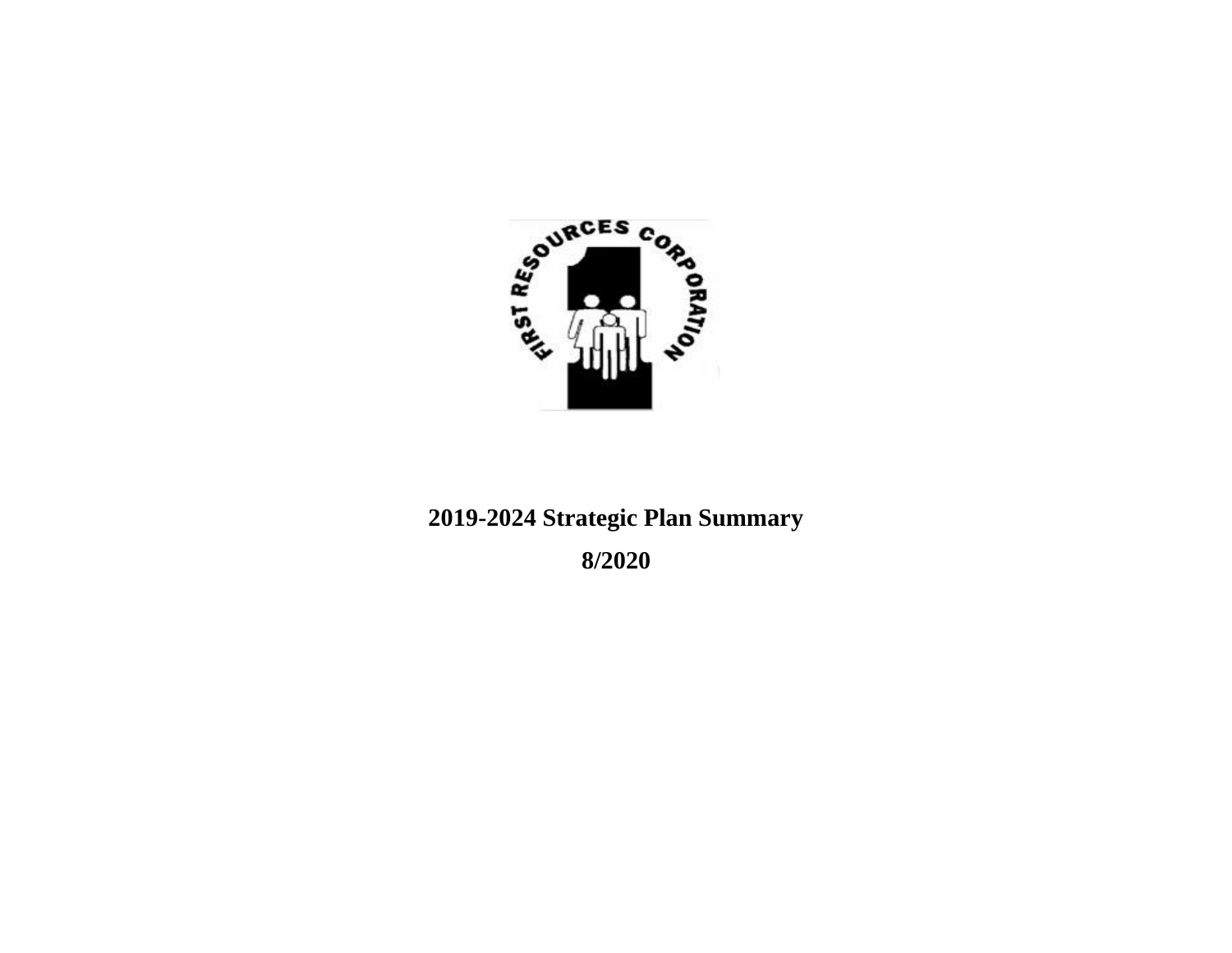

# **2019-2024 Strategic Plan Summary**

**8/2020**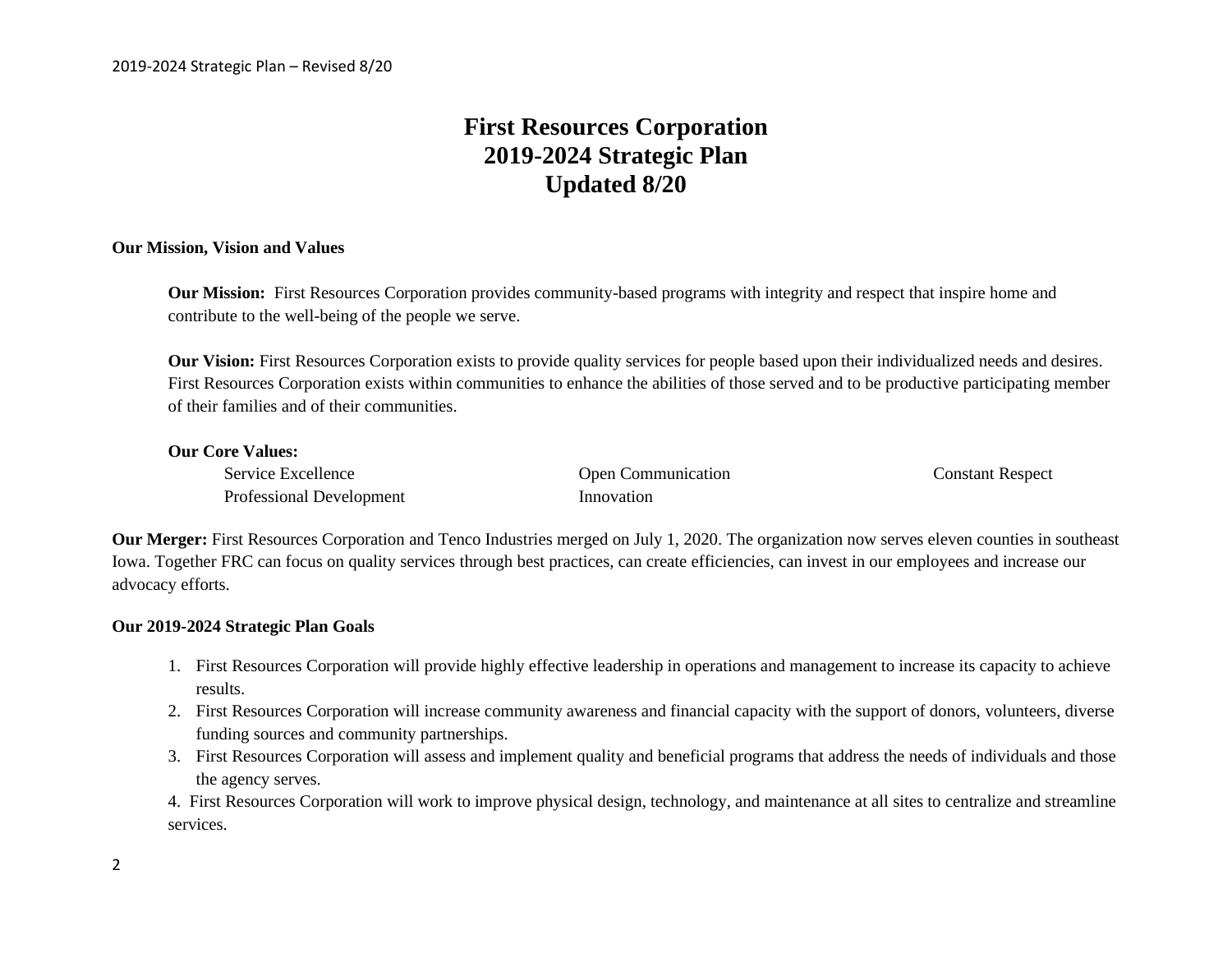# **First Resources Corporation 2019-2024 Strategic Plan Updated 8/20**

#### **Our Mission, Vision and Values**

**Our Mission:** First Resources Corporation provides community-based programs with integrity and respect that inspire home and contribute to the well-being of the people we serve.

**Our Vision:** First Resources Corporation exists to provide quality services for people based upon their individualized needs and desires. First Resources Corporation exists within communities to enhance the abilities of those served and to be productive participating member of their families and of their communities.

#### **Our Core Values:**

Service Excellence Open Communication Constant Respect Professional Development Innovation

**Our Merger:** First Resources Corporation and Tenco Industries merged on July 1, 2020. The organization now serves eleven counties in southeast Iowa. Together FRC can focus on quality services through best practices, can create efficiencies, can invest in our employees and increase our advocacy efforts.

#### **Our 2019-2024 Strategic Plan Goals**

- 1. First Resources Corporation will provide highly effective leadership in operations and management to increase its capacity to achieve results.
- 2. First Resources Corporation will increase community awareness and financial capacity with the support of donors, volunteers, diverse funding sources and community partnerships.
- 3. First Resources Corporation will assess and implement quality and beneficial programs that address the needs of individuals and those the agency serves.

4. First Resources Corporation will work to improve physical design, technology, and maintenance at all sites to centralize and streamline services.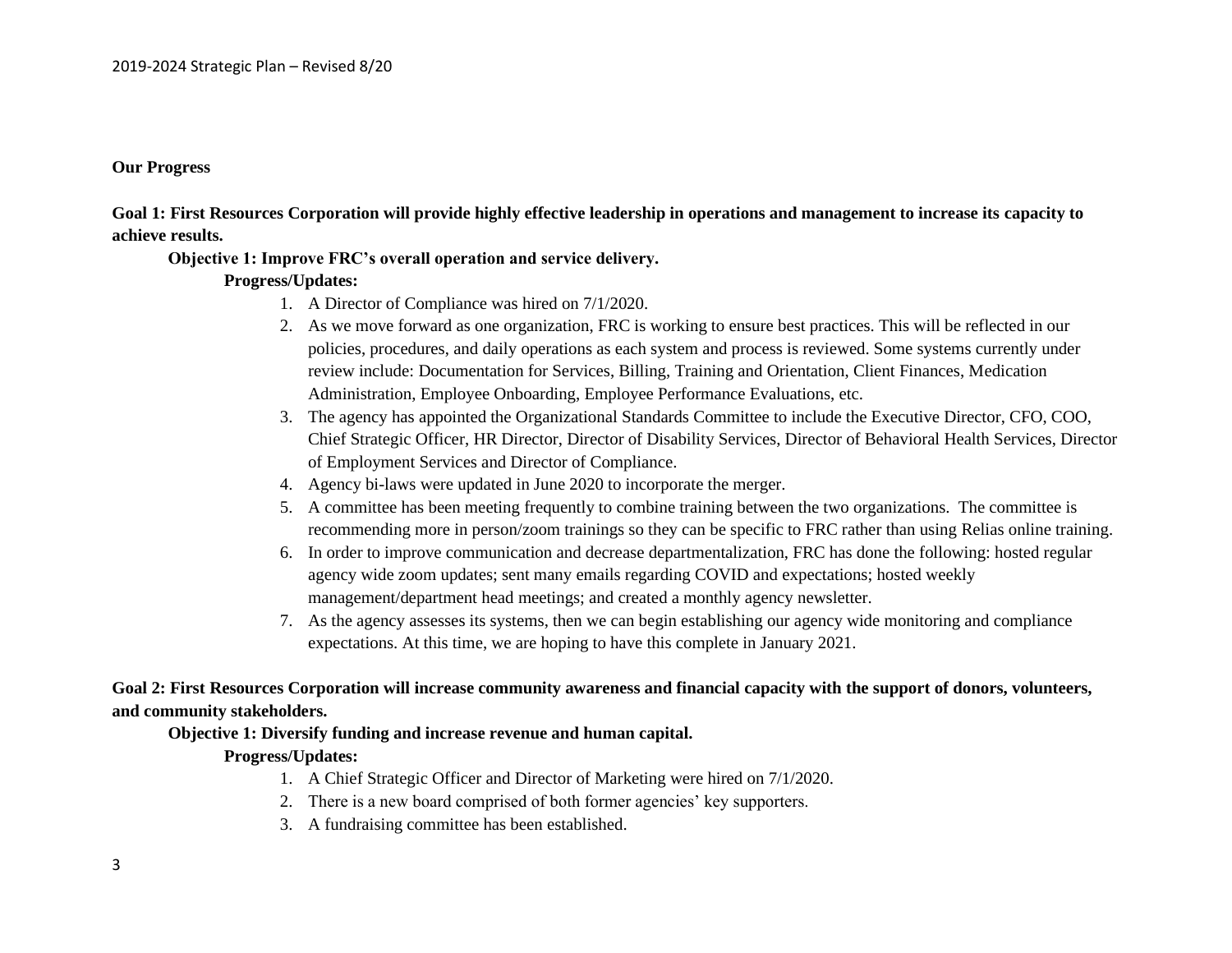#### **Our Progress**

**Goal 1: First Resources Corporation will provide highly effective leadership in operations and management to increase its capacity to achieve results.**

#### **Objective 1: Improve FRC's overall operation and service delivery.**

#### **Progress/Updates:**

- 1. A Director of Compliance was hired on 7/1/2020.
- 2. As we move forward as one organization, FRC is working to ensure best practices. This will be reflected in our policies, procedures, and daily operations as each system and process is reviewed. Some systems currently under review include: Documentation for Services, Billing, Training and Orientation, Client Finances, Medication Administration, Employee Onboarding, Employee Performance Evaluations, etc.
- 3. The agency has appointed the Organizational Standards Committee to include the Executive Director, CFO, COO, Chief Strategic Officer, HR Director, Director of Disability Services, Director of Behavioral Health Services, Director of Employment Services and Director of Compliance.
- 4. Agency bi-laws were updated in June 2020 to incorporate the merger.
- 5. A committee has been meeting frequently to combine training between the two organizations. The committee is recommending more in person/zoom trainings so they can be specific to FRC rather than using Relias online training.
- 6. In order to improve communication and decrease departmentalization, FRC has done the following: hosted regular agency wide zoom updates; sent many emails regarding COVID and expectations; hosted weekly management/department head meetings; and created a monthly agency newsletter.
- 7. As the agency assesses its systems, then we can begin establishing our agency wide monitoring and compliance expectations. At this time, we are hoping to have this complete in January 2021.

**Goal 2: First Resources Corporation will increase community awareness and financial capacity with the support of donors, volunteers, and community stakeholders.**

#### **Objective 1: Diversify funding and increase revenue and human capital.**

#### **Progress/Updates:**

- 1. A Chief Strategic Officer and Director of Marketing were hired on 7/1/2020.
- 2. There is a new board comprised of both former agencies' key supporters.
- 3. A fundraising committee has been established.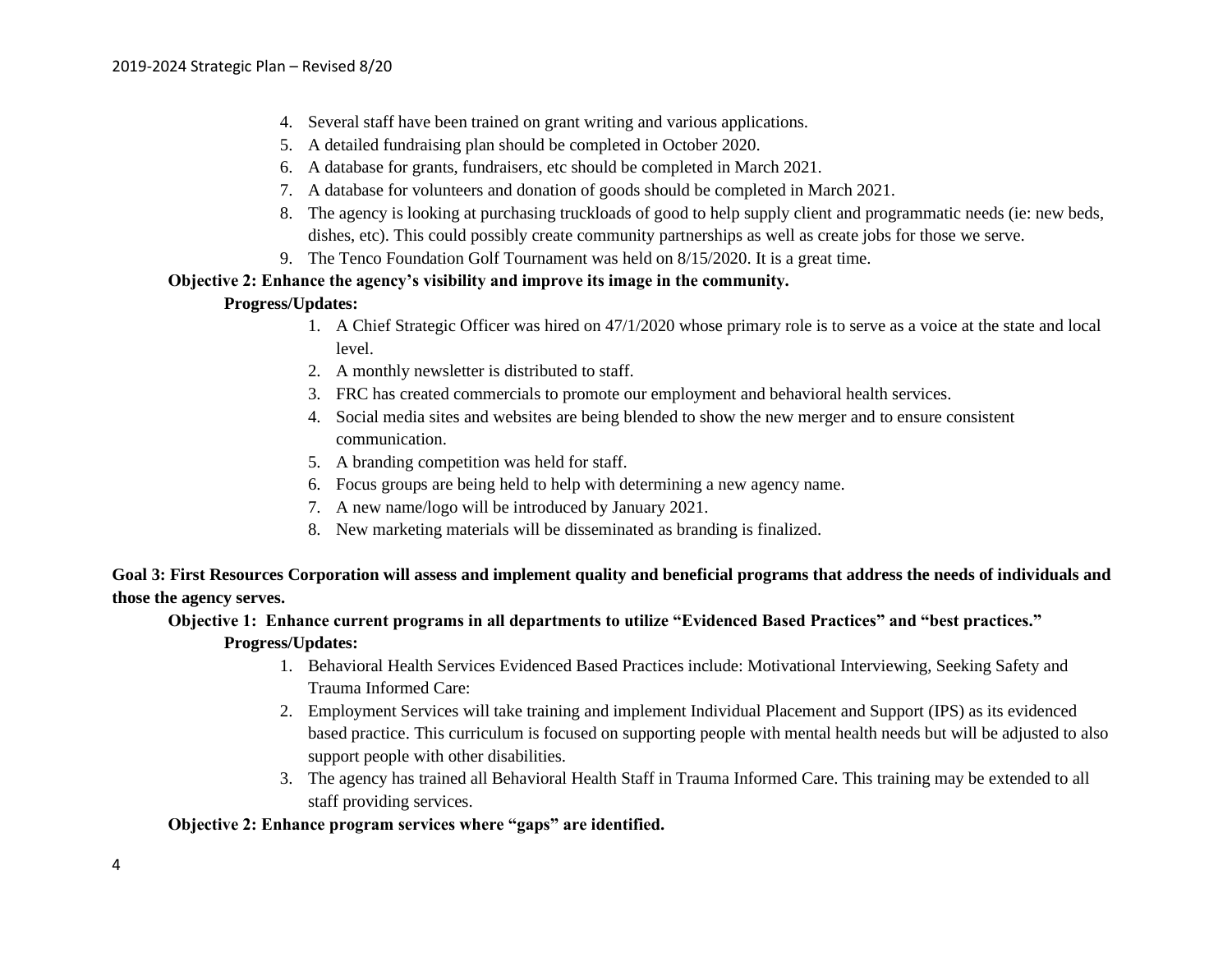- 4. Several staff have been trained on grant writing and various applications.
- 5. A detailed fundraising plan should be completed in October 2020.
- 6. A database for grants, fundraisers, etc should be completed in March 2021.
- 7. A database for volunteers and donation of goods should be completed in March 2021.
- 8. The agency is looking at purchasing truckloads of good to help supply client and programmatic needs (ie: new beds, dishes, etc). This could possibly create community partnerships as well as create jobs for those we serve.
- 9. The Tenco Foundation Golf Tournament was held on 8/15/2020. It is a great time.

#### **Objective 2: Enhance the agency's visibility and improve its image in the community.**

#### **Progress/Updates:**

- 1. A Chief Strategic Officer was hired on 47/1/2020 whose primary role is to serve as a voice at the state and local level.
- 2. A monthly newsletter is distributed to staff.
- 3. FRC has created commercials to promote our employment and behavioral health services.
- 4. Social media sites and websites are being blended to show the new merger and to ensure consistent communication.
- 5. A branding competition was held for staff.
- 6. Focus groups are being held to help with determining a new agency name.
- 7. A new name/logo will be introduced by January 2021.
- 8. New marketing materials will be disseminated as branding is finalized.

**Goal 3: First Resources Corporation will assess and implement quality and beneficial programs that address the needs of individuals and those the agency serves.** 

#### **Objective 1: Enhance current programs in all departments to utilize "Evidenced Based Practices" and "best practices." Progress/Updates:**

- 1. Behavioral Health Services Evidenced Based Practices include: Motivational Interviewing, Seeking Safety and Trauma Informed Care:
- 2. Employment Services will take training and implement Individual Placement and Support (IPS) as its evidenced based practice. This curriculum is focused on supporting people with mental health needs but will be adjusted to also support people with other disabilities.
- 3. The agency has trained all Behavioral Health Staff in Trauma Informed Care. This training may be extended to all staff providing services.

## **Objective 2: Enhance program services where "gaps" are identified.**